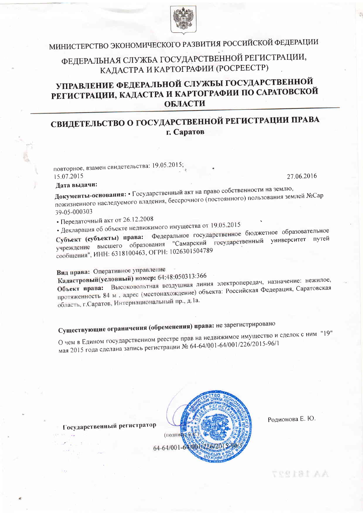

# ФЕДЕРАЛЬНАЯ СЛУЖБА ГОСУДАРСТВЕННОЙ РЕГИСТРАЦИИ, КАДАСТРА И КАРТОГРАФИИ (РОСРЕЕСТР)

## УПРАВЛЕНИЕ ФЕДЕРАЛЬНОЙ СЛУЖБЫ ГОСУДАРСТВЕННОЙ РЕГИСТРАЦИИ, КАДАСТРА И КАРТОГРАФИИ ПО САРАТОВСКОЙ **ОБЛАСТИ**

## СВИДЕТЕЛЬСТВО О ГОСУДАРСТВЕННОЙ РЕГИСТРАЦИИ ПРАВА г. Саратов

повторное, взамен свидетельства: 19.05.2015;

15.07.2015

27.06.2016

#### Дата выдачи:

Документы-основания: • Государственный акт на право собственности на землю, пожизненного наследуемого владения, бессрочного (постоянного) пользования землей №Сар 39-05-000303

• Передаточный акт от 26.12.2008

• Декларация об объекте недвижимого имущества от 19.05.2015

Субъект (субъекты) права: Федеральное государственное бюджетное образовательное "Самарский государственный университет путей учреждение высшего образования сообщения", ИНН: 6318100463, ОГРН: 1026301504789

# Вид права: Оперативное управление

Кадастровый(условный) номер: 64:48:050313:366

Объект права: Высоковольтная воздушная линия электропередач, назначение: нежилое, протяженность 84 м, адрес (местонахождение) объекта: Российская Федерация, Саратовская область, г.Саратов, Интернациональный пр., д. la.

# Существующие ограничения (обременения) права: не зарегистрировано

О чем в Едином государственном реестре прав на недвижимое имущество и сделок с ним "19" мая 2015 года сделана запись регистрации № 64-64/001-64/001/226/2015-96/1



Родионова Е. Ю.

AA 161927

Государственный регистратор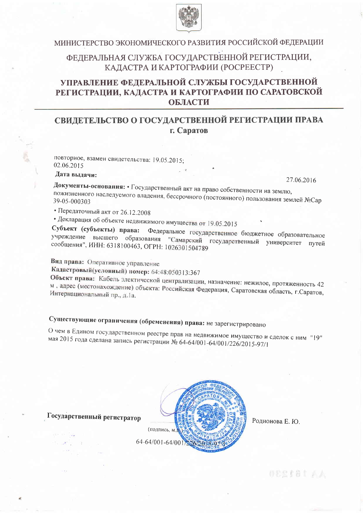

### ФЕДЕРАЛЬНАЯ СЛУЖБА ГОСУДАРСТВЕННОЙ РЕГИСТРАЦИИ, КАДАСТРА И КАРТОГРАФИИ (РОСРЕЕСТР)

## УПРАВЛЕНИЕ ФЕДЕРАЛЬНОЙ СЛУЖБЫ ГОСУДАРСТВЕННОЙ РЕГИСТРАЦИИ, КАДАСТРА И КАРТОГРАФИИ ПО САРАТОВСКОЙ ОБЛАСТИ

### СВИДЕТЕЛЬСТВО О ГОСУДАРСТВЕННОЙ РЕГИСТРАЦИИ ПРАВА г. Саратов

повторное, взамен свидетельства: 19.05.2015; 02.06.2015

#### Дата выдачи:

27.06.2016

Документы-основания: • Государственный акт на право собственности на землю, пожизненного наследуемого владения, бессрочного (постоянного) пользования землей №Сар 39-05-000303

• Передаточный акт от 26.12.2008

• Декларация об объекте недвижимого имущества от 19.05.2015

Субъект (субъекты) права: Федеральное государственное бюджетное образовательное учреждение высшего образования "Самарский государственный университет путей сообщения", ИНН: 6318100463, ОГРН: 1026301504789

Вид права: Оперативное управление

Кадастровый(условный) номер: 64:48:050313:367

Объект права: Кабель электической централизации, назначение: нежилое, протяженность 42 м, адрес (местонахождение) объекта: Российская Федерация, Саратовская область, г.Саратов, Интернациональный пр., д. la.

# Существующие ограничения (обременения) права: не зарегистрировано

О чем в Едином государственном реестре прав на недвижимое имущество и сделок с ним "19" мая 2015 года сделана запись регистрации № 64-64/001-64/001/226/2015-97/1



Родионова Е. Ю.

 $\mathbb{E}[\mathbf{z} \mathbf{z}^{\mathbf{z}}]$  , and  $\mathbb{E}[\mathbf{z} \mathbf{z}^{\mathbf{z}}]$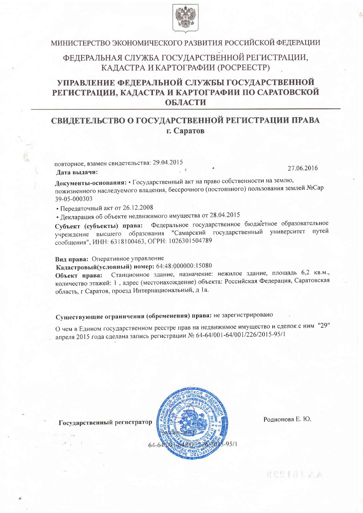

#### ФЕЛЕРАЛЬНАЯ СЛУЖБА ГОСУДАРСТВЕННОЙ РЕГИСТРАЦИИ, КАДАСТРА И КАРТОГРАФИИ (РОСРЕЕСТР)

### УПРАВЛЕНИЕ ФЕДЕРАЛЬНОЙ СЛУЖБЫ ГОСУДАРСТВЕННОЙ РЕГИСТРАЦИИ, КАДАСТРА И КАРТОГРАФИИ ПО САРАТОВСКОЙ ОБЛАСТИ

### СВИДЕТЕЛЬСТВО О ГОСУДАРСТВЕННОЙ РЕГИСТРАЦИИ ПРАВА г. Саратов

повторное, взамен свидетельства: 29.04.2015

27.06.2016

Документы-основания: • Государственный акт на право собственности на землю, пожизненного наследуемого владения, бессрочного (постоянного) пользования землей №Сар 39-05-000303

• Передаточный акт от 26.12.2008

Лата вылачи:

• Декларация об объекте недвижимого имущества от 28.04.2015

Субъект (субъекты) права: Федеральное государственное бюджетное образовательное учреждение высшего образования "Самарский государственный университет путей сообщения", ИНН: 6318100463, ОГРН: 1026301504789

#### Вид права: Оперативное управление

Кадастровый(условный) номер: 64:48:000000:15080

Станционное здание, назначение: нежилое здание, площадь 6,2 кв.м., Объект права: количество этажей: 1, адрес (местонахождение) объекта: Российская Федерация, Саратовская область, г Саратов, проезд Интернациональный, д 1а.

# Существующие ограничения (обременения) права: не зарегистрировано

О чем в Едином государственном реестре прав на недвижимое имущество и сделок с ним "29" апреля 2015 года сделана запись регистрации № 64-64/001-64/001/226/2015-95/1

Государственный регистратор



Родионова Е. Ю.

 $A \times 161229$